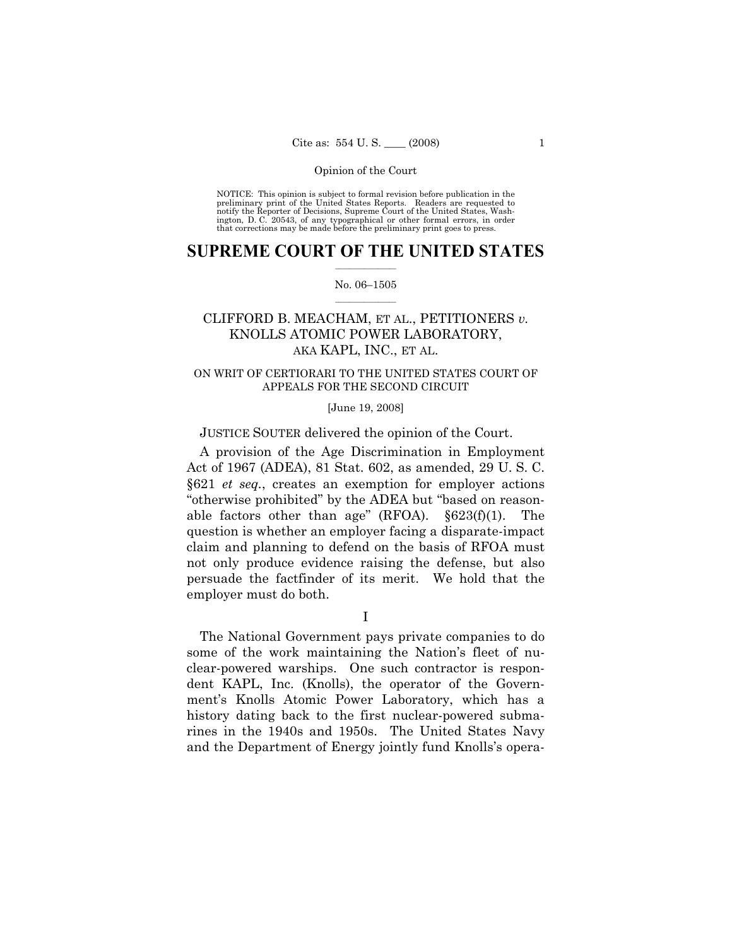NOTICE: This opinion is subject to formal revision before publication in the preliminary print of the United States Reports. Readers are requested to notify the Reporter of Decisions, Supreme Court of the United States, Washington, D. C. 20543, of any typographical or other formal errors, in order that corrections may be made before the preliminary print goes to press.

# **SUPREME COURT OF THE UNITED STATES**  $\frac{1}{2}$  ,  $\frac{1}{2}$  ,  $\frac{1}{2}$  ,  $\frac{1}{2}$  ,  $\frac{1}{2}$  ,  $\frac{1}{2}$  ,  $\frac{1}{2}$

## No. 06–1505  $\frac{1}{2}$  ,  $\frac{1}{2}$  ,  $\frac{1}{2}$  ,  $\frac{1}{2}$  ,  $\frac{1}{2}$  ,  $\frac{1}{2}$

# CLIFFORD B. MEACHAM, ET AL., PETITIONERS *v.*  KNOLLS ATOMIC POWER LABORATORY, AKA KAPL, INC., ET AL.

# ON WRIT OF CERTIORARI TO THE UNITED STATES COURT OF APPEALS FOR THE SECOND CIRCUIT

## [June 19, 2008]

# JUSTICE SOUTER delivered the opinion of the Court.

 A provision of the Age Discrimination in Employment Act of 1967 (ADEA), 81 Stat. 602, as amended, 29 U. S. C. §621 *et seq.*, creates an exemption for employer actions "otherwise prohibited" by the ADEA but "based on reasonable factors other than age" (RFOA). §623(f)(1). The question is whether an employer facing a disparate-impact claim and planning to defend on the basis of RFOA must not only produce evidence raising the defense, but also persuade the factfinder of its merit. We hold that the employer must do both.

I

 The National Government pays private companies to do some of the work maintaining the Nation's fleet of nuclear-powered warships. One such contractor is respondent KAPL, Inc. (Knolls), the operator of the Government's Knolls Atomic Power Laboratory, which has a history dating back to the first nuclear-powered submarines in the 1940s and 1950s. The United States Navy and the Department of Energy jointly fund Knolls's opera-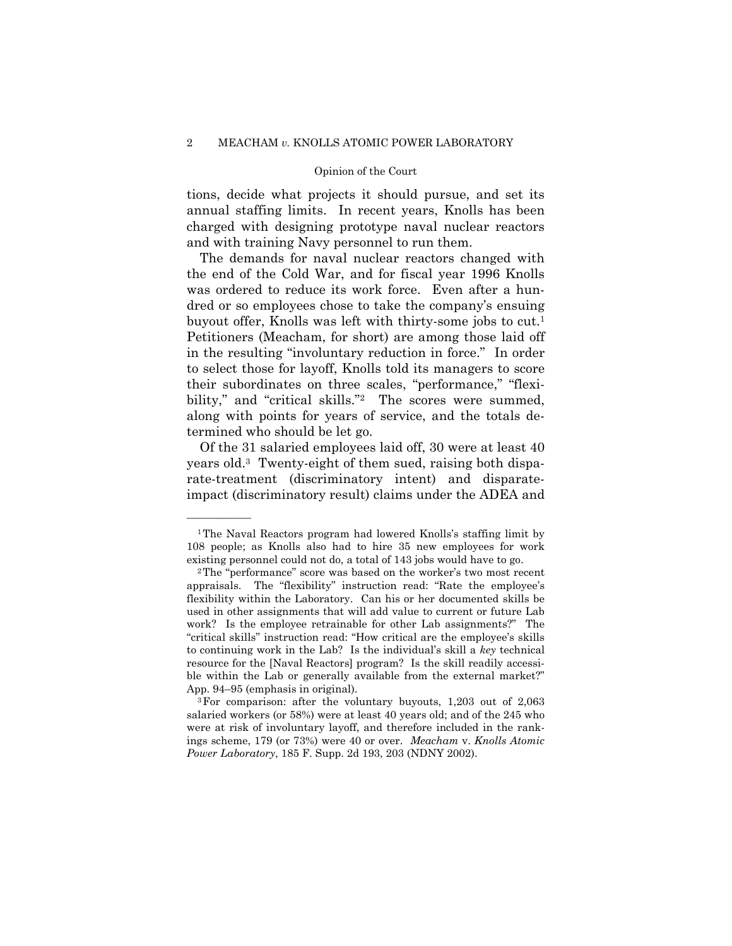tions, decide what projects it should pursue, and set its annual staffing limits. In recent years, Knolls has been charged with designing prototype naval nuclear reactors and with training Navy personnel to run them.

 The demands for naval nuclear reactors changed with the end of the Cold War, and for fiscal year 1996 Knolls was ordered to reduce its work force. Even after a hundred or so employees chose to take the company's ensuing buyout offer, Knolls was left with thirty-some jobs to cut.1 Petitioners (Meacham, for short) are among those laid off in the resulting "involuntary reduction in force." In order to select those for layoff, Knolls told its managers to score their subordinates on three scales, "performance," "flexibility," and "critical skills."<sup>2</sup> The scores were summed, along with points for years of service, and the totals determined who should be let go.

 Of the 31 salaried employees laid off, 30 were at least 40 years old.3 Twenty-eight of them sued, raising both disparate-treatment (discriminatory intent) and disparateimpact (discriminatory result) claims under the ADEA and

<sup>1</sup>The Naval Reactors program had lowered Knolls's staffing limit by 108 people; as Knolls also had to hire 35 new employees for work existing personnel could not do, a total of 143 jobs would have to go. 2The "performance" score was based on the worker's two most recent

appraisals. The "flexibility" instruction read: "Rate the employee's flexibility within the Laboratory. Can his or her documented skills be used in other assignments that will add value to current or future Lab work? Is the employee retrainable for other Lab assignments?" The "critical skills" instruction read: "How critical are the employee's skills to continuing work in the Lab? Is the individual's skill a *key* technical resource for the [Naval Reactors] program? Is the skill readily accessible within the Lab or generally available from the external market?"

App. 94–95 (emphasis in original).<br><sup>3</sup>For comparison: after the voluntary buyouts, 1,203 out of 2,063 salaried workers (or 58%) were at least 40 years old; and of the 245 who were at risk of involuntary layoff, and therefore included in the rankings scheme, 179 (or 73%) were 40 or over. *Meacham* v. *Knolls Atomic Power Laboratory*, 185 F. Supp. 2d 193, 203 (NDNY 2002).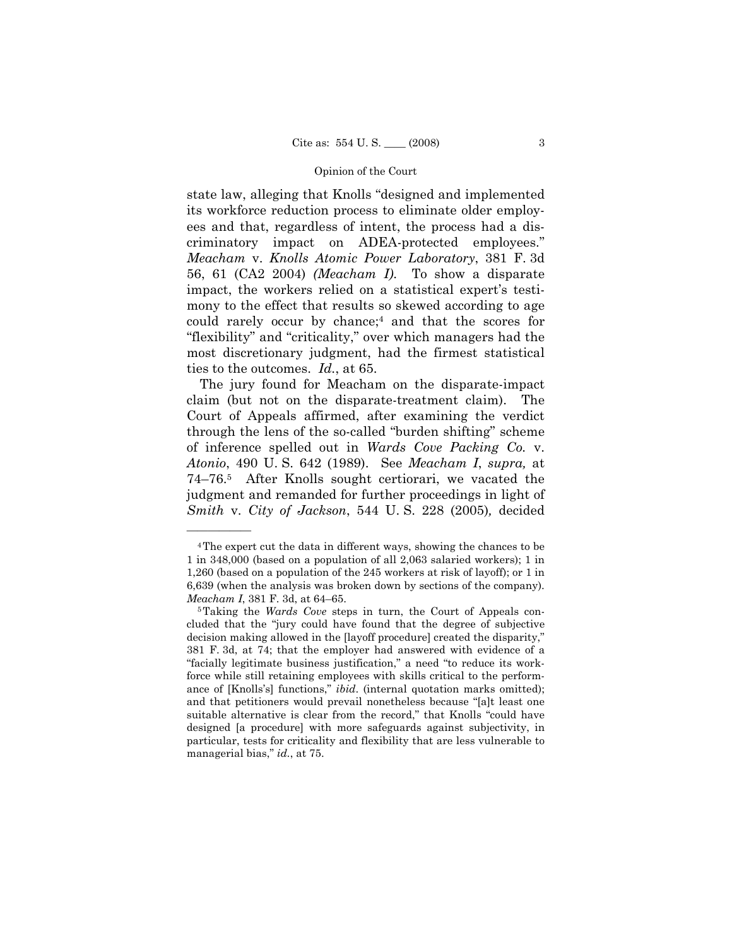state law, alleging that Knolls "designed and implemented its workforce reduction process to eliminate older employees and that, regardless of intent, the process had a discriminatory impact on ADEA-protected employees." *Meacham* v. *Knolls Atomic Power Laboratory*, 381 F. 3d 56, 61 (CA2 2004) *(Meacham I)*. To show a disparate impact, the workers relied on a statistical expert's testimony to the effect that results so skewed according to age could rarely occur by chance;4 and that the scores for "flexibility" and "criticality," over which managers had the most discretionary judgment, had the firmest statistical ties to the outcomes. *Id.*, at 65.

 The jury found for Meacham on the disparate-impact claim (but not on the disparate-treatment claim). The Court of Appeals affirmed, after examining the verdict through the lens of the so-called "burden shifting" scheme of inference spelled out in *Wards Cove Packing Co.* v. *Atonio*, 490 U. S. 642 (1989). See *Meacham I*, *supra,* at 74–76.5 After Knolls sought certiorari, we vacated the judgment and remanded for further proceedings in light of *Smith* v. *City of Jackson*, 544 U. S. 228 (2005)*,* decided

<sup>4</sup>The expert cut the data in different ways, showing the chances to be 1 in 348,000 (based on a population of all 2,063 salaried workers); 1 in 1,260 (based on a population of the 245 workers at risk of layoff); or 1 in 6,639 (when the analysis was broken down by sections of the company). *Meacham I*, 381 F. 3d, at 64–65.<br><sup>5</sup>Taking the *Wards Cove* steps in turn, the Court of Appeals con-

cluded that the "jury could have found that the degree of subjective decision making allowed in the [layoff procedure] created the disparity," 381 F. 3d, at 74; that the employer had answered with evidence of a "facially legitimate business justification," a need "to reduce its workforce while still retaining employees with skills critical to the performance of [Knolls's] functions," *ibid*. (internal quotation marks omitted); and that petitioners would prevail nonetheless because "[a]t least one suitable alternative is clear from the record," that Knolls "could have designed [a procedure] with more safeguards against subjectivity, in particular, tests for criticality and flexibility that are less vulnerable to managerial bias," *id.*, at 75.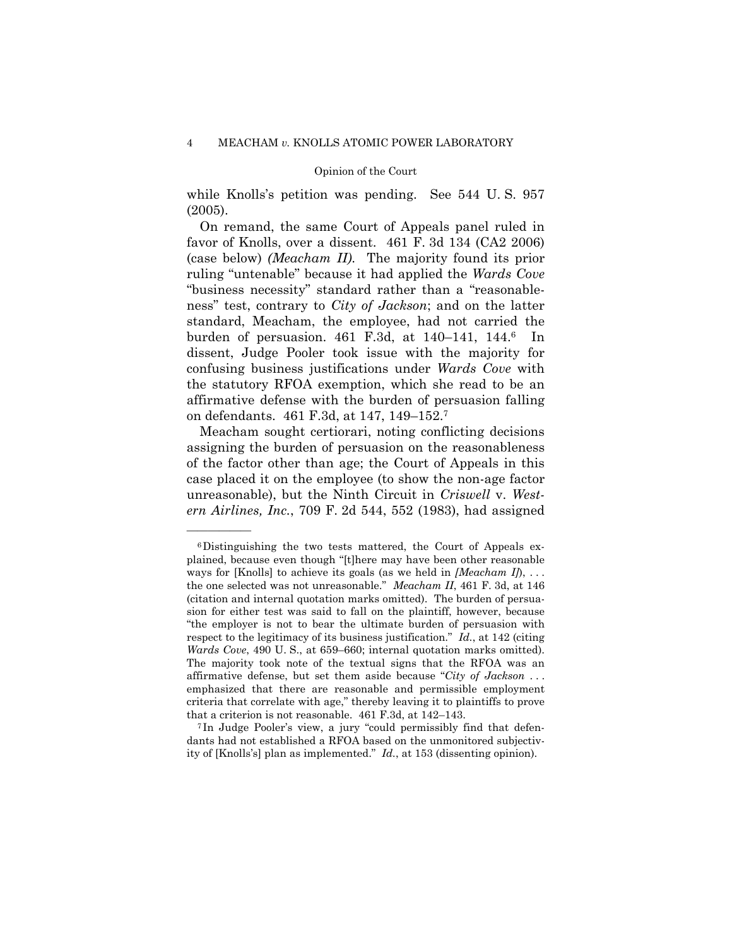while Knolls's petition was pending. See 544 U. S. 957 (2005).

 On remand, the same Court of Appeals panel ruled in favor of Knolls, over a dissent. 461 F. 3d 134 (CA2 2006) (case below) *(Meacham II)*. The majority found its prior ruling "untenable" because it had applied the *Wards Cove* "business necessity" standard rather than a "reasonableness" test, contrary to *City of Jackson*; and on the latter standard, Meacham, the employee, had not carried the burden of persuasion. 461 F.3d, at 140–141, 144.6 In dissent, Judge Pooler took issue with the majority for confusing business justifications under *Wards Cove* with the statutory RFOA exemption, which she read to be an affirmative defense with the burden of persuasion falling on defendants. 461 F.3d, at 147, 149–152.7

 Meacham sought certiorari, noting conflicting decisions assigning the burden of persuasion on the reasonableness of the factor other than age; the Court of Appeals in this case placed it on the employee (to show the non-age factor unreasonable), but the Ninth Circuit in *Criswell* v. *Western Airlines, Inc.*, 709 F. 2d 544, 552 (1983), had assigned

<sup>6</sup>Distinguishing the two tests mattered, the Court of Appeals explained, because even though "[t]here may have been other reasonable ways for [Knolls] to achieve its goals (as we held in *[Meacham I]*), . . . the one selected was not unreasonable." *Meacham II*, 461 F. 3d, at 146 (citation and internal quotation marks omitted). The burden of persuasion for either test was said to fall on the plaintiff, however, because "the employer is not to bear the ultimate burden of persuasion with respect to the legitimacy of its business justification." *Id.*, at 142 (citing *Wards Cove*, 490 U. S., at 659–660; internal quotation marks omitted). The majority took note of the textual signs that the RFOA was an affirmative defense, but set them aside because "*City of Jackson* . . . emphasized that there are reasonable and permissible employment criteria that correlate with age," thereby leaving it to plaintiffs to prove

that a criterion is not reasonable. 461 F.3d, at 142–143. 7 In Judge Pooler's view, a jury "could permissibly find that defendants had not established a RFOA based on the unmonitored subjectivity of [Knolls's] plan as implemented." *Id.*, at 153 (dissenting opinion).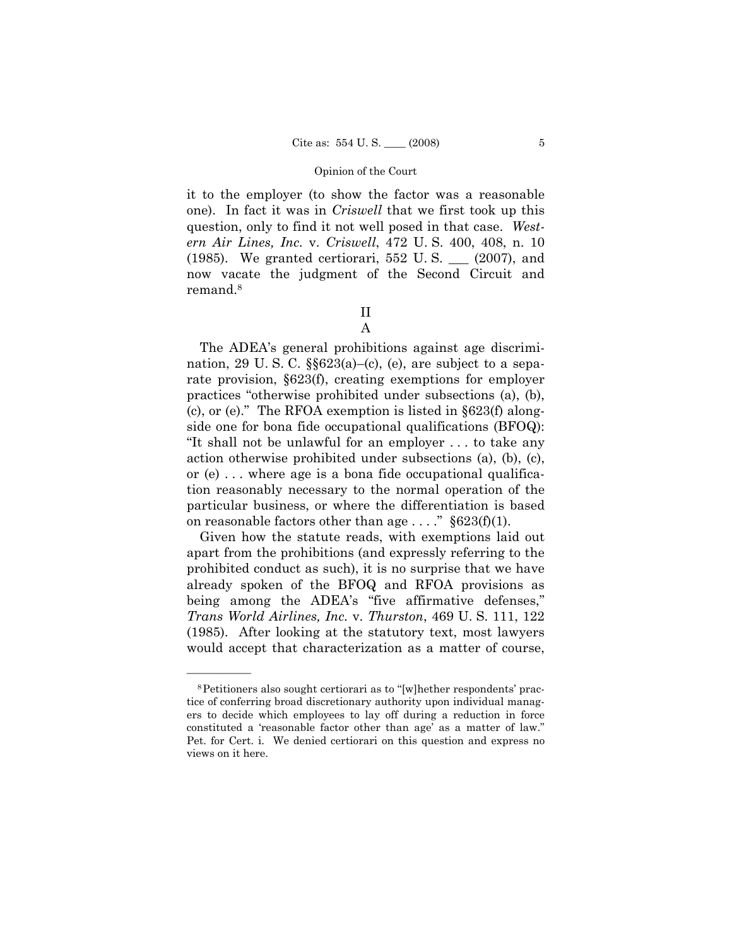it to the employer (to show the factor was a reasonable one). In fact it was in *Criswell* that we first took up this question, only to find it not well posed in that case. *Western Air Lines, Inc.* v. *Criswell*, 472 U. S. 400, 408, n. 10 (1985). We granted certiorari, 552 U. S. \_\_\_ (2007), and now vacate the judgment of the Second Circuit and remand.8

> II A

 The ADEA's general prohibitions against age discrimination, 29 U.S.C.  $\S623(a)$ –(c), (e), are subject to a separate provision, §623(f), creating exemptions for employer practices "otherwise prohibited under subsections (a), (b), (c), or (e)." The RFOA exemption is listed in §623(f) alongside one for bona fide occupational qualifications (BFOQ): "It shall not be unlawful for an employer . . . to take any action otherwise prohibited under subsections (a), (b), (c), or (e) . . . where age is a bona fide occupational qualification reasonably necessary to the normal operation of the particular business, or where the differentiation is based on reasonable factors other than age  $\ldots$ ." §623(f)(1).

 Given how the statute reads, with exemptions laid out apart from the prohibitions (and expressly referring to the prohibited conduct as such), it is no surprise that we have already spoken of the BFOQ and RFOA provisions as being among the ADEA's "five affirmative defenses," *Trans World Airlines, Inc.* v. *Thurston*, 469 U. S. 111, 122 (1985). After looking at the statutory text, most lawyers would accept that characterization as a matter of course,

<sup>8</sup>Petitioners also sought certiorari as to "[w]hether respondents' practice of conferring broad discretionary authority upon individual managers to decide which employees to lay off during a reduction in force constituted a 'reasonable factor other than age' as a matter of law." Pet. for Cert. i. We denied certiorari on this question and express no views on it here.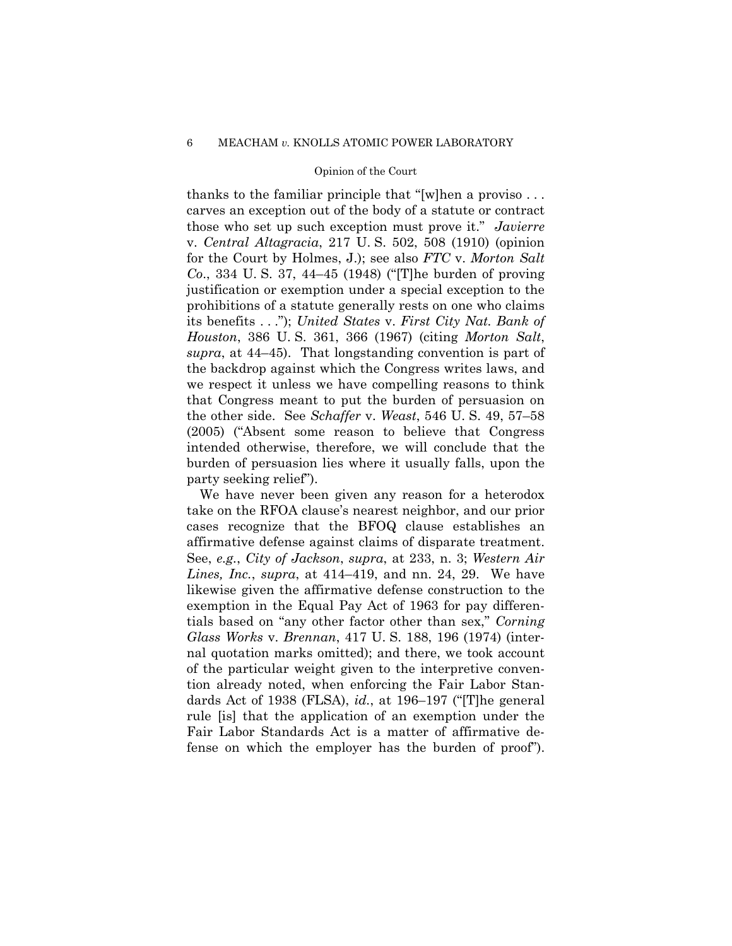thanks to the familiar principle that "[w]hen a proviso . . . carves an exception out of the body of a statute or contract those who set up such exception must prove it." *Javierre* v. *Central Altagracia*, 217 U. S. 502, 508 (1910) (opinion for the Court by Holmes, J.); see also *FTC* v. *Morton Salt Co*., 334 U. S. 37, 44–45 (1948) ("[T]he burden of proving justification or exemption under a special exception to the prohibitions of a statute generally rests on one who claims its benefits . . ."); *United States* v. *First City Nat. Bank of Houston*, 386 U. S. 361, 366 (1967) (citing *Morton Salt*, *supra*, at 44–45). That longstanding convention is part of the backdrop against which the Congress writes laws, and we respect it unless we have compelling reasons to think that Congress meant to put the burden of persuasion on the other side. See *Schaffer* v. *Weast*, 546 U. S. 49, 57–58 (2005) ("Absent some reason to believe that Congress intended otherwise, therefore, we will conclude that the burden of persuasion lies where it usually falls, upon the party seeking relief").

 We have never been given any reason for a heterodox take on the RFOA clause's nearest neighbor, and our prior cases recognize that the BFOQ clause establishes an affirmative defense against claims of disparate treatment. See, *e.g.*, *City of Jackson*, *supra*, at 233, n. 3; *Western Air Lines, Inc.*, *supra*, at 414–419, and nn. 24, 29. We have likewise given the affirmative defense construction to the exemption in the Equal Pay Act of 1963 for pay differentials based on "any other factor other than sex," *Corning Glass Works* v. *Brennan*, 417 U. S. 188, 196 (1974) (internal quotation marks omitted); and there, we took account of the particular weight given to the interpretive convention already noted, when enforcing the Fair Labor Standards Act of 1938 (FLSA), *id.*, at 196–197 ("[T]he general rule [is] that the application of an exemption under the Fair Labor Standards Act is a matter of affirmative defense on which the employer has the burden of proof").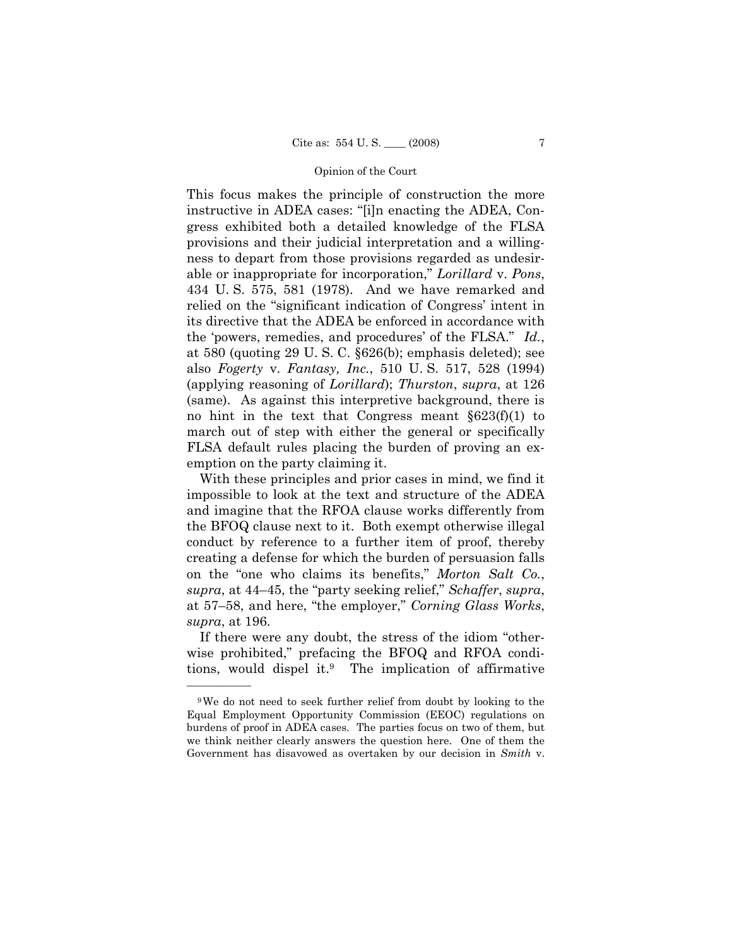This focus makes the principle of construction the more instructive in ADEA cases: "[i]n enacting the ADEA, Congress exhibited both a detailed knowledge of the FLSA provisions and their judicial interpretation and a willingness to depart from those provisions regarded as undesirable or inappropriate for incorporation," *Lorillard* v. *Pons*, 434 U. S. 575, 581 (1978). And we have remarked and relied on the "significant indication of Congress' intent in its directive that the ADEA be enforced in accordance with the 'powers, remedies, and procedures' of the FLSA." *Id.*, at 580 (quoting 29 U. S. C. §626(b); emphasis deleted); see also *Fogerty* v. *Fantasy, Inc.*, 510 U. S. 517, 528 (1994) (applying reasoning of *Lorillard*); *Thurston*, *supra*, at 126 (same). As against this interpretive background, there is no hint in the text that Congress meant §623(f)(1) to march out of step with either the general or specifically FLSA default rules placing the burden of proving an exemption on the party claiming it.

 With these principles and prior cases in mind, we find it impossible to look at the text and structure of the ADEA and imagine that the RFOA clause works differently from the BFOQ clause next to it. Both exempt otherwise illegal conduct by reference to a further item of proof, thereby creating a defense for which the burden of persuasion falls on the "one who claims its benefits," *Morton Salt Co.*, *supra*, at 44–45, the "party seeking relief," *Schaffer*, *supra*, at 57–58, and here, "the employer," *Corning Glass Works*, *supra*, at 196.

 If there were any doubt, the stress of the idiom "otherwise prohibited," prefacing the BFOQ and RFOA conditions, would dispel it.9 The implication of affirmative

<sup>9</sup>We do not need to seek further relief from doubt by looking to the Equal Employment Opportunity Commission (EEOC) regulations on burdens of proof in ADEA cases. The parties focus on two of them, but we think neither clearly answers the question here. One of them the Government has disavowed as overtaken by our decision in *Smith* v.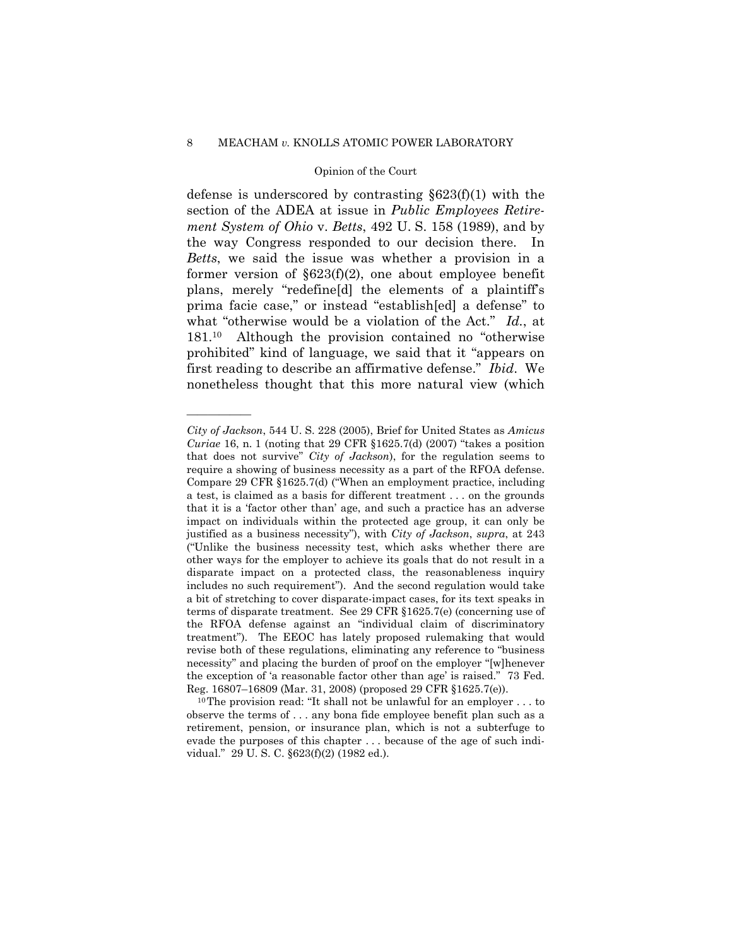## 8 MEACHAM *v.* KNOLLS ATOMIC POWER LABORATORY

## Opinion of the Court

defense is underscored by contrasting §623(f)(1) with the section of the ADEA at issue in *Public Employees Retirement System of Ohio* v. *Betts*, 492 U. S. 158 (1989), and by the way Congress responded to our decision there. In *Betts*, we said the issue was whether a provision in a former version of  $\S623(f)(2)$ , one about employee benefit plans, merely "redefine[d] the elements of a plaintiff's prima facie case," or instead "establish[ed] a defense" to what "otherwise would be a violation of the Act." *Id.*, at 181.10 Although the provision contained no "otherwise prohibited" kind of language, we said that it "appears on first reading to describe an affirmative defense." *Ibid*. We nonetheless thought that this more natural view (which

*City of Jackson*, 544 U. S. 228 (2005), Brief for United States as *Amicus Curiae* 16, n. 1 (noting that 29 CFR §1625.7(d) (2007) "takes a position that does not survive" *City of Jackson*), for the regulation seems to require a showing of business necessity as a part of the RFOA defense. Compare 29 CFR §1625.7(d) ("When an employment practice, including a test, is claimed as a basis for different treatment . . . on the grounds that it is a 'factor other than' age, and such a practice has an adverse impact on individuals within the protected age group, it can only be justified as a business necessity"), with *City of Jackson*, *supra*, at 243 ("Unlike the business necessity test, which asks whether there are other ways for the employer to achieve its goals that do not result in a disparate impact on a protected class, the reasonableness inquiry includes no such requirement"). And the second regulation would take a bit of stretching to cover disparate-impact cases, for its text speaks in terms of disparate treatment. See 29 CFR §1625.7(e) (concerning use of the RFOA defense against an "individual claim of discriminatory treatment"). The EEOC has lately proposed rulemaking that would revise both of these regulations, eliminating any reference to "business necessity" and placing the burden of proof on the employer "[w]henever the exception of 'a reasonable factor other than age' is raised." 73 Fed. Reg. 16807–16809 (Mar. 31, 2008) (proposed 29 CFR §1625.7(e)). 10The provision read: "It shall not be unlawful for an employer . . . to

observe the terms of . . . any bona fide employee benefit plan such as a retirement, pension, or insurance plan, which is not a subterfuge to evade the purposes of this chapter . . . because of the age of such individual." 29 U. S. C. §623(f)(2) (1982 ed.).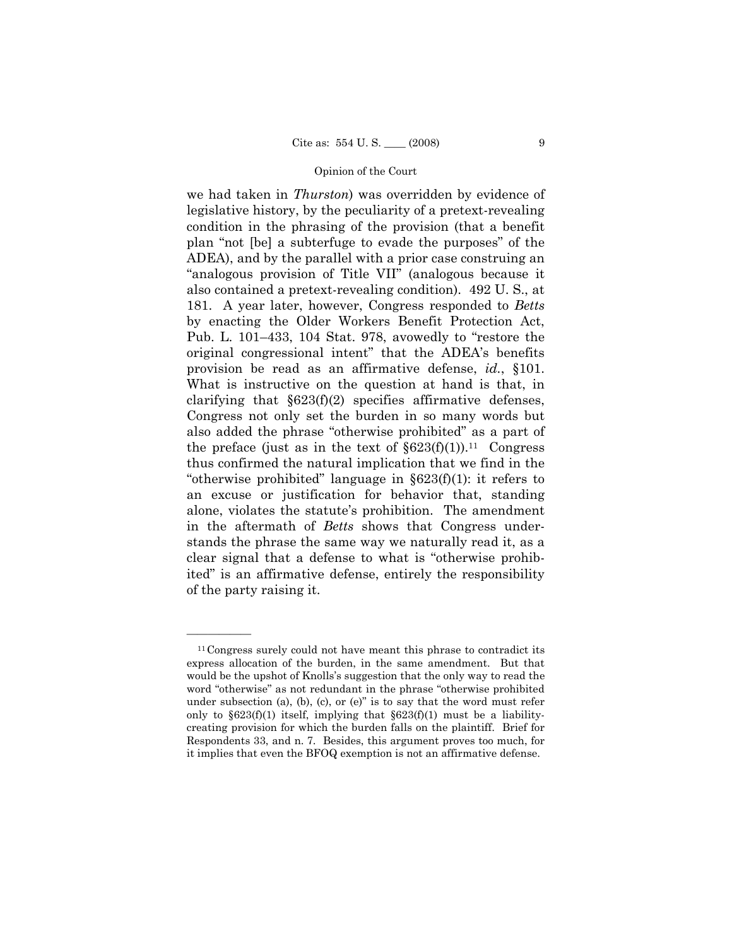we had taken in *Thurston*) was overridden by evidence of legislative history, by the peculiarity of a pretext-revealing condition in the phrasing of the provision (that a benefit plan "not [be] a subterfuge to evade the purposes" of the ADEA), and by the parallel with a prior case construing an "analogous provision of Title VII" (analogous because it also contained a pretext-revealing condition). 492 U. S., at 181. A year later, however, Congress responded to *Betts* by enacting the Older Workers Benefit Protection Act, Pub. L. 101–433, 104 Stat. 978, avowedly to "restore the original congressional intent" that the ADEA's benefits provision be read as an affirmative defense, *id.*, §101. What is instructive on the question at hand is that, in clarifying that  $\S 623(f)(2)$  specifies affirmative defenses, Congress not only set the burden in so many words but also added the phrase "otherwise prohibited" as a part of the preface (just as in the text of  $\S 623(f)(1)$ ).<sup>11</sup> Congress thus confirmed the natural implication that we find in the "otherwise prohibited" language in  $\S 623(f)(1)$ : it refers to an excuse or justification for behavior that, standing alone, violates the statute's prohibition. The amendment in the aftermath of *Betts* shows that Congress understands the phrase the same way we naturally read it, as a clear signal that a defense to what is "otherwise prohibited" is an affirmative defense, entirely the responsibility of the party raising it.

<sup>&</sup>lt;sup>11</sup>Congress surely could not have meant this phrase to contradict its express allocation of the burden, in the same amendment. But that would be the upshot of Knolls's suggestion that the only way to read the word "otherwise" as not redundant in the phrase "otherwise prohibited under subsection (a), (b), (c), or (e)" is to say that the word must refer only to  $\S623(f)(1)$  itself, implying that  $\S623(f)(1)$  must be a liabilitycreating provision for which the burden falls on the plaintiff. Brief for Respondents 33, and n. 7. Besides, this argument proves too much, for it implies that even the BFOQ exemption is not an affirmative defense.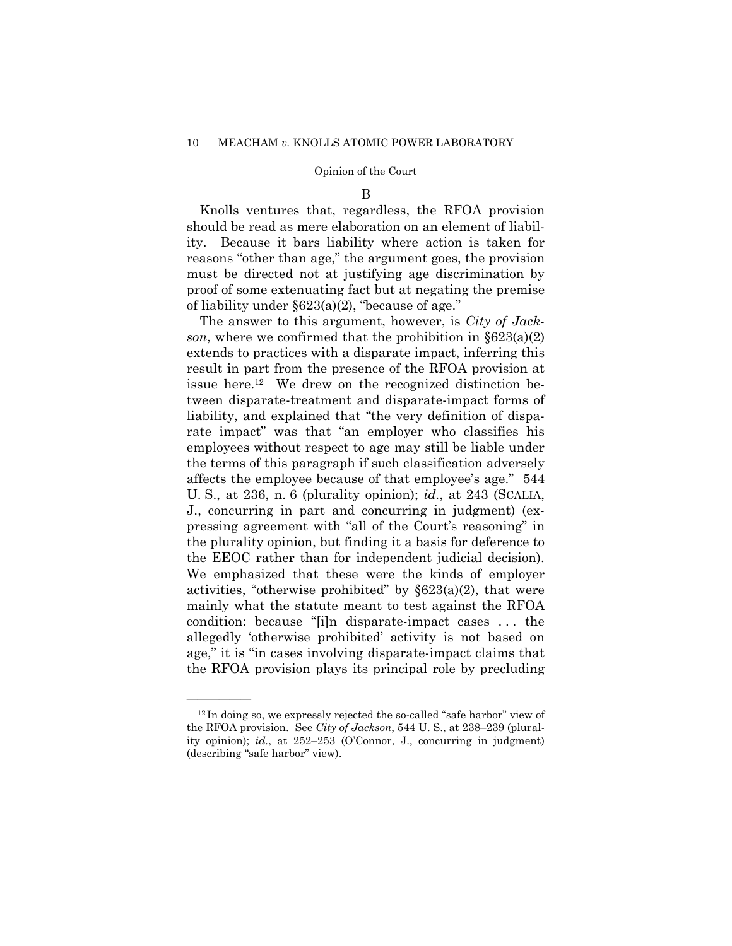B

 Knolls ventures that, regardless, the RFOA provision should be read as mere elaboration on an element of liability. Because it bars liability where action is taken for reasons "other than age," the argument goes, the provision must be directed not at justifying age discrimination by proof of some extenuating fact but at negating the premise of liability under  $\S 623(a)(2)$ , "because of age."

 The answer to this argument, however, is *City of Jackson*, where we confirmed that the prohibition in §623(a)(2) extends to practices with a disparate impact, inferring this result in part from the presence of the RFOA provision at issue here.12 We drew on the recognized distinction between disparate-treatment and disparate-impact forms of liability, and explained that "the very definition of disparate impact" was that "an employer who classifies his employees without respect to age may still be liable under the terms of this paragraph if such classification adversely affects the employee because of that employee's age." 544 U. S., at 236, n. 6 (plurality opinion); *id.*, at 243 (SCALIA, J., concurring in part and concurring in judgment) (expressing agreement with "all of the Court's reasoning" in the plurality opinion, but finding it a basis for deference to the EEOC rather than for independent judicial decision). We emphasized that these were the kinds of employer activities, "otherwise prohibited" by  $\S 623(a)(2)$ , that were mainly what the statute meant to test against the RFOA condition: because "[i]n disparate-impact cases . . . the allegedly 'otherwise prohibited' activity is not based on age," it is "in cases involving disparate-impact claims that the RFOA provision plays its principal role by precluding

<sup>12</sup> In doing so, we expressly rejected the so-called "safe harbor" view of the RFOA provision. See *City of Jackson*, 544 U. S., at 238–239 (plurality opinion); *id.*, at 252–253 (O'Connor, J., concurring in judgment) (describing "safe harbor" view).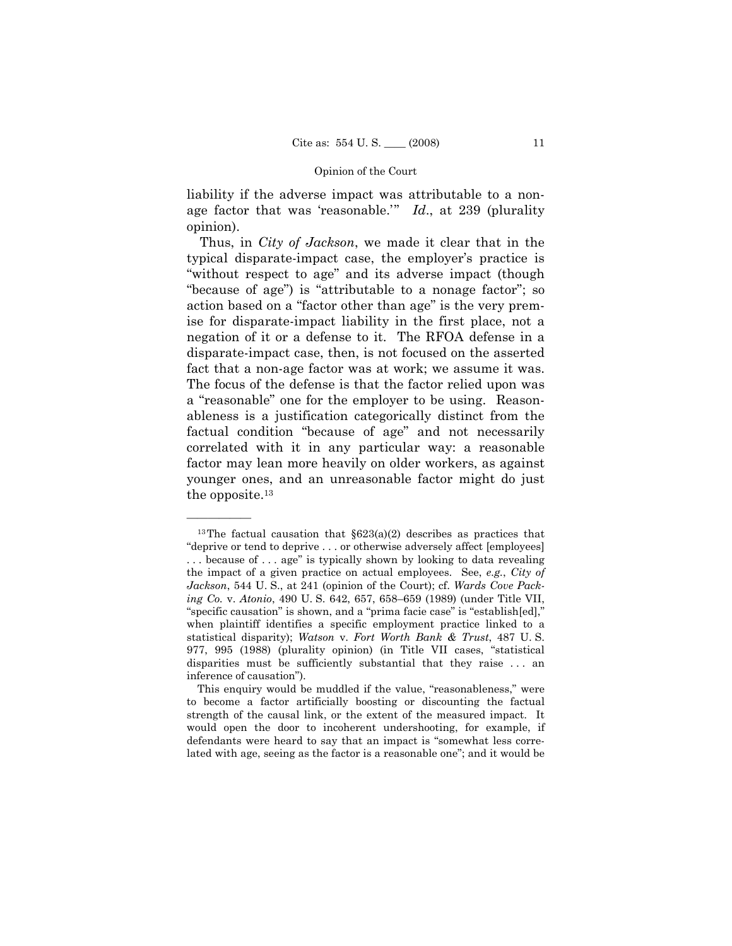liability if the adverse impact was attributable to a nonage factor that was 'reasonable.'" *Id*., at 239 (plurality opinion).

 Thus, in *City of Jackson*, we made it clear that in the typical disparate-impact case, the employer's practice is "without respect to age" and its adverse impact (though "because of age") is "attributable to a nonage factor"; so action based on a "factor other than age" is the very premise for disparate-impact liability in the first place, not a negation of it or a defense to it. The RFOA defense in a disparate-impact case, then, is not focused on the asserted fact that a non-age factor was at work; we assume it was. The focus of the defense is that the factor relied upon was a "reasonable" one for the employer to be using. Reasonableness is a justification categorically distinct from the factual condition "because of age" and not necessarily correlated with it in any particular way: a reasonable factor may lean more heavily on older workers, as against younger ones, and an unreasonable factor might do just the opposite.13

<sup>&</sup>lt;sup>13</sup>The factual causation that  $\S623(a)(2)$  describes as practices that "deprive or tend to deprive . . . or otherwise adversely affect [employees] . . . because of . . . age" is typically shown by looking to data revealing the impact of a given practice on actual employees. See, *e.g.*, *City of Jackson*, 544 U. S., at 241 (opinion of the Court); cf. *Wards Cove Packing Co.* v. *Atonio*, 490 U. S. 642, 657, 658–659 (1989) (under Title VII, "specific causation" is shown, and a "prima facie case" is "establish[ed]," when plaintiff identifies a specific employment practice linked to a statistical disparity); *Watson* v. *Fort Worth Bank & Trust*, 487 U. S. 977, 995 (1988) (plurality opinion) (in Title VII cases, "statistical disparities must be sufficiently substantial that they raise . . . an inference of causation").

This enquiry would be muddled if the value, "reasonableness," were to become a factor artificially boosting or discounting the factual strength of the causal link, or the extent of the measured impact. It would open the door to incoherent undershooting, for example, if defendants were heard to say that an impact is "somewhat less correlated with age, seeing as the factor is a reasonable one"; and it would be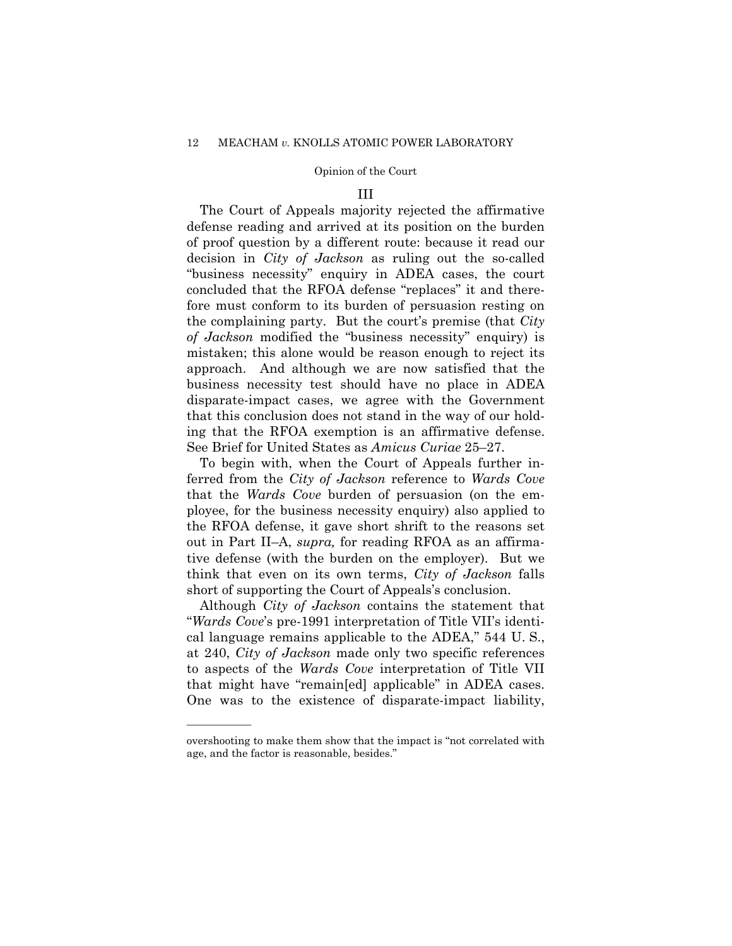### III

 The Court of Appeals majority rejected the affirmative defense reading and arrived at its position on the burden of proof question by a different route: because it read our decision in *City of Jackson* as ruling out the so-called "business necessity" enquiry in ADEA cases, the court concluded that the RFOA defense "replaces" it and therefore must conform to its burden of persuasion resting on the complaining party. But the court's premise (that *City of Jackson* modified the "business necessity" enquiry) is mistaken; this alone would be reason enough to reject its approach. And although we are now satisfied that the business necessity test should have no place in ADEA disparate-impact cases, we agree with the Government that this conclusion does not stand in the way of our holding that the RFOA exemption is an affirmative defense. See Brief for United States as *Amicus Curiae* 25–27.

 To begin with, when the Court of Appeals further inferred from the *City of Jackson* reference to *Wards Cove* that the *Wards Cove* burden of persuasion (on the employee, for the business necessity enquiry) also applied to the RFOA defense, it gave short shrift to the reasons set out in Part II–A, *supra,* for reading RFOA as an affirmative defense (with the burden on the employer). But we think that even on its own terms, *City of Jackson* falls short of supporting the Court of Appeals's conclusion.

 Although *City of Jackson* contains the statement that "*Wards Cove*'s pre-1991 interpretation of Title VII's identical language remains applicable to the ADEA," 544 U. S., at 240, *City of Jackson* made only two specific references to aspects of the *Wards Cove* interpretation of Title VII that might have "remain[ed] applicable" in ADEA cases. One was to the existence of disparate-impact liability,

overshooting to make them show that the impact is "not correlated with age, and the factor is reasonable, besides."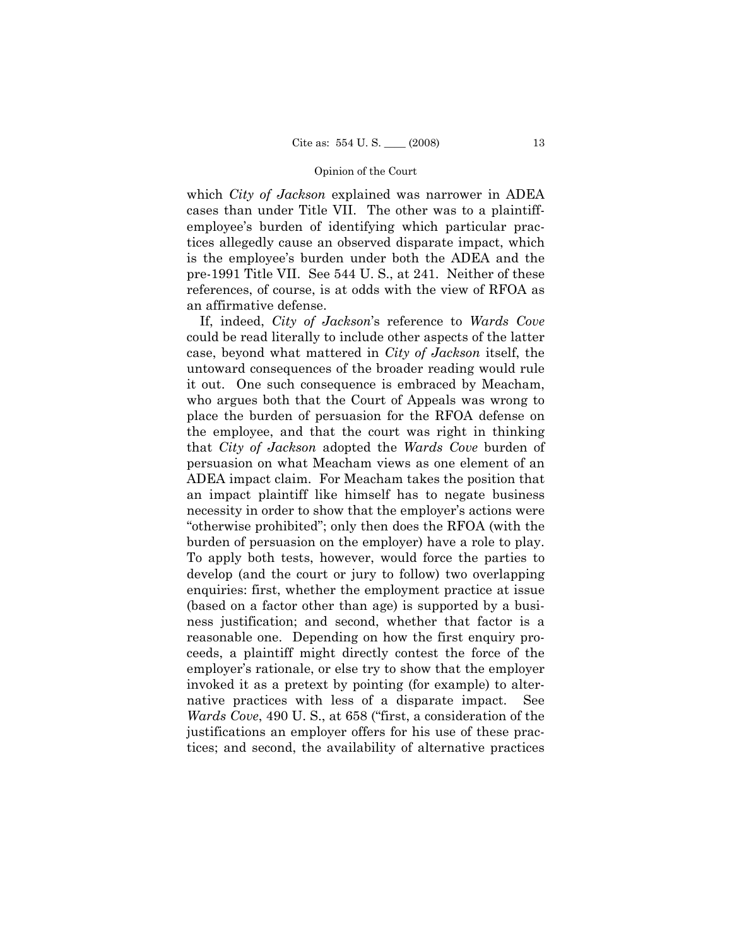which *City of Jackson* explained was narrower in ADEA cases than under Title VII. The other was to a plaintiffemployee's burden of identifying which particular practices allegedly cause an observed disparate impact, which is the employee's burden under both the ADEA and the pre-1991 Title VII.See 544 U. S., at 241. Neither of these references, of course, is at odds with the view of RFOA as an affirmative defense.

 If, indeed, *City of Jackson*'s reference to *Wards Cove* could be read literally to include other aspects of the latter case, beyond what mattered in *City of Jackson* itself, the untoward consequences of the broader reading would rule it out. One such consequence is embraced by Meacham, who argues both that the Court of Appeals was wrong to place the burden of persuasion for the RFOA defense on the employee, and that the court was right in thinking that *City of Jackson* adopted the *Wards Cove* burden of persuasion on what Meacham views as one element of an ADEA impact claim. For Meacham takes the position that an impact plaintiff like himself has to negate business necessity in order to show that the employer's actions were "otherwise prohibited"; only then does the RFOA (with the burden of persuasion on the employer) have a role to play. To apply both tests, however, would force the parties to develop (and the court or jury to follow) two overlapping enquiries: first, whether the employment practice at issue (based on a factor other than age) is supported by a business justification; and second, whether that factor is a reasonable one. Depending on how the first enquiry proceeds, a plaintiff might directly contest the force of the employer's rationale, or else try to show that the employer invoked it as a pretext by pointing (for example) to alternative practices with less of a disparate impact. See *Wards Cove*, 490 U. S., at 658 ("first, a consideration of the justifications an employer offers for his use of these practices; and second, the availability of alternative practices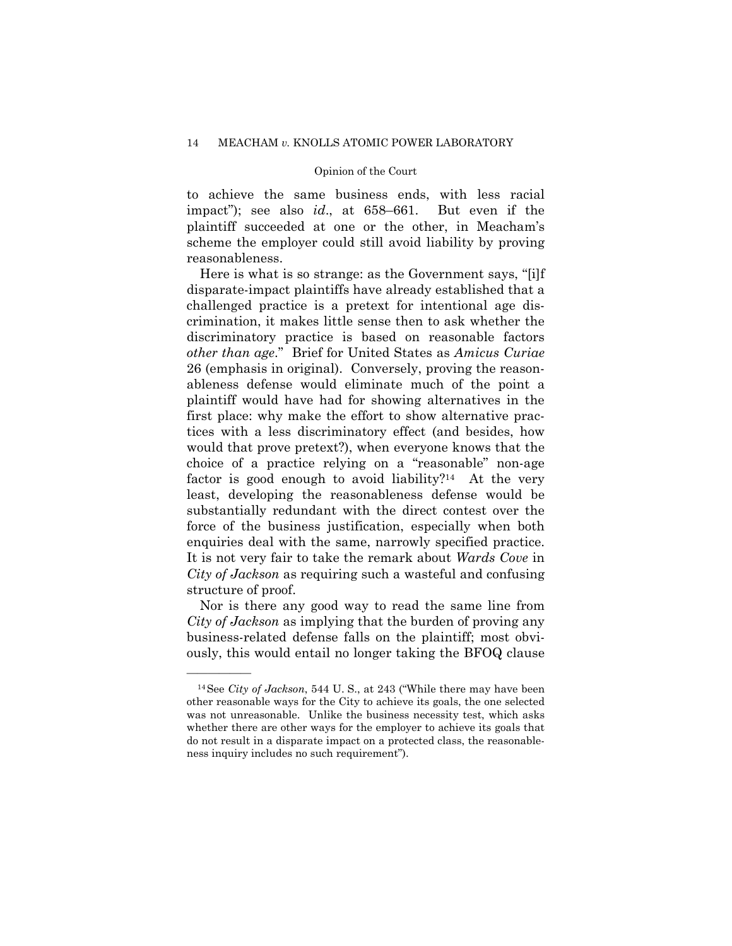to achieve the same business ends, with less racial impact"); see also *id*., at 658–661. But even if the plaintiff succeeded at one or the other, in Meacham's scheme the employer could still avoid liability by proving reasonableness.

 Here is what is so strange: as the Government says, "[i]f disparate-impact plaintiffs have already established that a challenged practice is a pretext for intentional age discrimination, it makes little sense then to ask whether the discriminatory practice is based on reasonable factors *other than age*." Brief for United States as *Amicus Curiae*  26 (emphasis in original). Conversely, proving the reasonableness defense would eliminate much of the point a plaintiff would have had for showing alternatives in the first place: why make the effort to show alternative practices with a less discriminatory effect (and besides, how would that prove pretext?), when everyone knows that the choice of a practice relying on a "reasonable" non-age factor is good enough to avoid liability?<sup>14</sup> At the very least, developing the reasonableness defense would be substantially redundant with the direct contest over the force of the business justification, especially when both enquiries deal with the same, narrowly specified practice. It is not very fair to take the remark about *Wards Cove* in *City of Jackson* as requiring such a wasteful and confusing structure of proof.

 Nor is there any good way to read the same line from *City of Jackson* as implying that the burden of proving any business-related defense falls on the plaintiff; most obviously, this would entail no longer taking the BFOQ clause

<sup>14</sup>See *City of Jackson*, 544 U. S., at 243 ("While there may have been other reasonable ways for the City to achieve its goals, the one selected was not unreasonable. Unlike the business necessity test, which asks whether there are other ways for the employer to achieve its goals that do not result in a disparate impact on a protected class, the reasonableness inquiry includes no such requirement").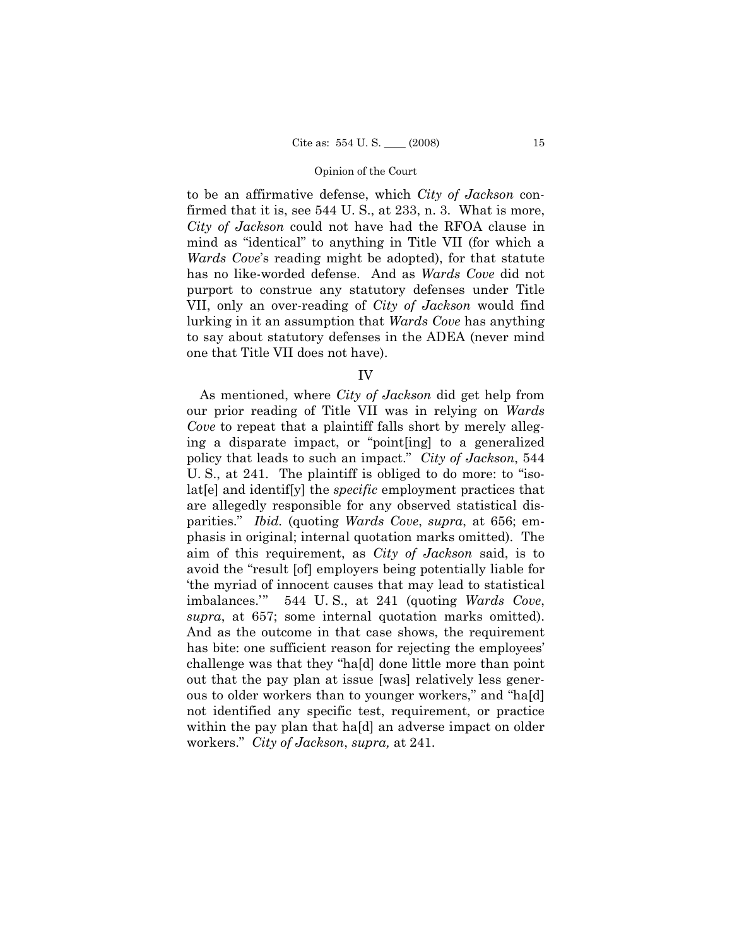to be an affirmative defense, which *City of Jackson* confirmed that it is, see 544 U.S., at 233, n. 3. What is more, *City of Jackson* could not have had the RFOA clause in mind as "identical" to anything in Title VII (for which a *Wards Cove*'s reading might be adopted), for that statute has no like-worded defense. And as *Wards Cove* did not purport to construe any statutory defenses under Title VII, only an over-reading of *City of Jackson* would find lurking in it an assumption that *Wards Cove* has anything to say about statutory defenses in the ADEA (never mind one that Title VII does not have).

IV

 As mentioned, where *City of Jackson* did get help from our prior reading of Title VII was in relying on *Wards Cove* to repeat that a plaintiff falls short by merely alleging a disparate impact, or "point[ing] to a generalized policy that leads to such an impact." *City of Jackson*, 544 U. S., at 241. The plaintiff is obliged to do more: to "isolat[e] and identif[y] the *specific* employment practices that are allegedly responsible for any observed statistical disparities." *Ibid.* (quoting *Wards Cove*, *supra*, at 656; emphasis in original; internal quotation marks omitted). The aim of this requirement, as *City of Jackson* said, is to avoid the "result [of] employers being potentially liable for 'the myriad of innocent causes that may lead to statistical imbalances.'" 544 U. S., at 241 (quoting *Wards Cove*, *supra*, at 657; some internal quotation marks omitted). And as the outcome in that case shows, the requirement has bite: one sufficient reason for rejecting the employees' challenge was that they "ha[d] done little more than point out that the pay plan at issue [was] relatively less generous to older workers than to younger workers," and "ha[d] not identified any specific test, requirement, or practice within the pay plan that hald an adverse impact on older workers." *City of Jackson*, *supra,* at 241.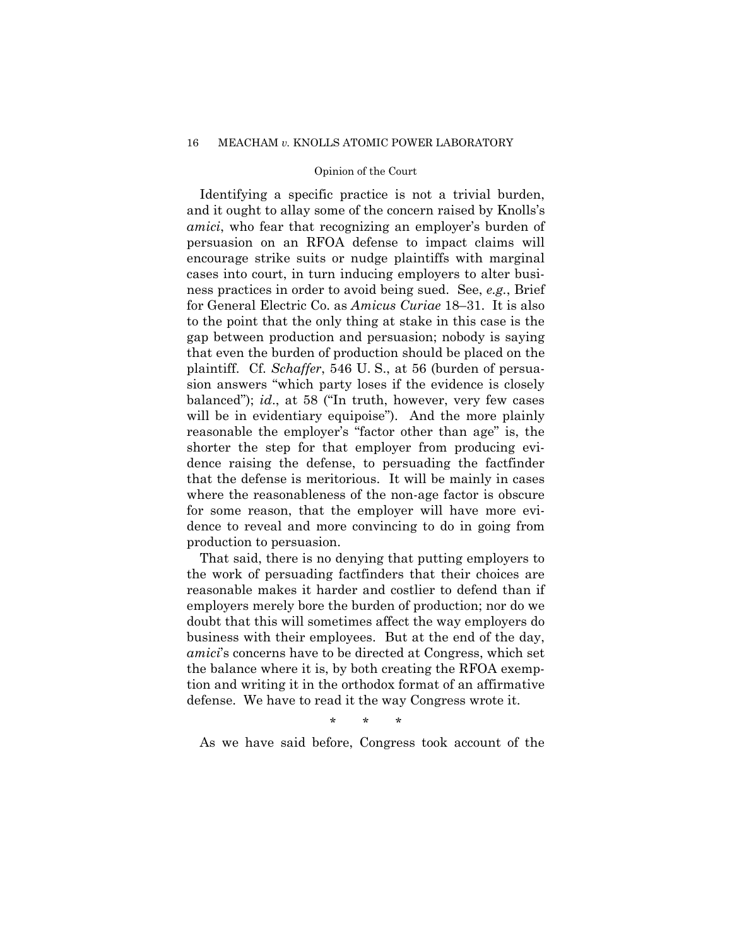## 16 MEACHAM *v.* KNOLLS ATOMIC POWER LABORATORY

## Opinion of the Court

 Identifying a specific practice is not a trivial burden, and it ought to allay some of the concern raised by Knolls's *amici*, who fear that recognizing an employer's burden of persuasion on an RFOA defense to impact claims will encourage strike suits or nudge plaintiffs with marginal cases into court, in turn inducing employers to alter business practices in order to avoid being sued. See, *e.g.*, Brief for General Electric Co. as *Amicus Curiae* 18–31. It is also to the point that the only thing at stake in this case is the gap between production and persuasion; nobody is saying that even the burden of production should be placed on the plaintiff. Cf. *Schaffer*, 546 U. S., at 56 (burden of persuasion answers "which party loses if the evidence is closely balanced"); *id*., at 58 ("In truth, however, very few cases will be in evidentiary equipoise"). And the more plainly reasonable the employer's "factor other than age" is, the shorter the step for that employer from producing evidence raising the defense, to persuading the factfinder that the defense is meritorious. It will be mainly in cases where the reasonableness of the non-age factor is obscure for some reason, that the employer will have more evidence to reveal and more convincing to do in going from production to persuasion.

 That said, there is no denying that putting employers to the work of persuading factfinders that their choices are reasonable makes it harder and costlier to defend than if employers merely bore the burden of production; nor do we doubt that this will sometimes affect the way employers do business with their employees. But at the end of the day, *amici*'s concerns have to be directed at Congress, which set the balance where it is, by both creating the RFOA exemption and writing it in the orthodox format of an affirmative defense. We have to read it the way Congress wrote it.

\* \* \*

As we have said before, Congress took account of the